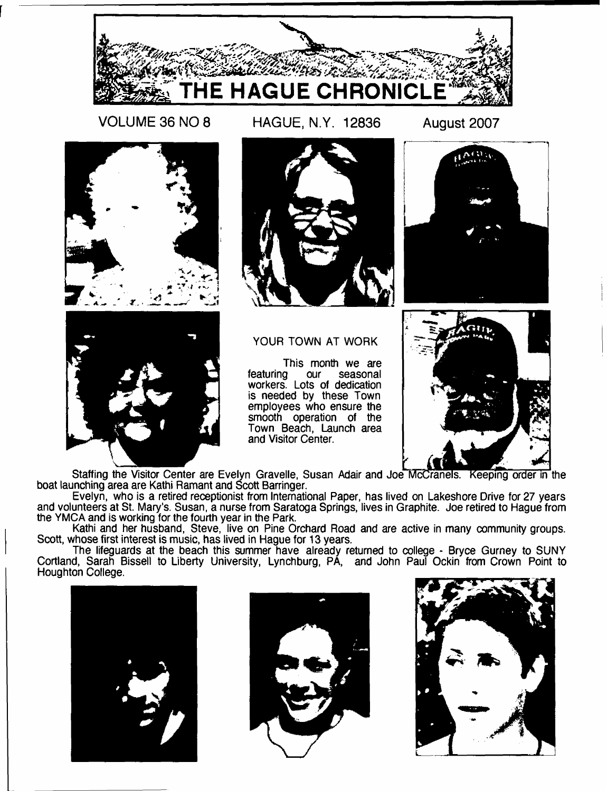

**VOLUME 36 NO 8 HAGUE, N.Y. 12836 August 2007**

 $\Delta$  CO .







YOUR TOWN AT WORK

This month we are<br>featuring our seasonal featuring our seasonal workers. Lots of dedication is needed by these Town employees who ensure the smooth operation of the Town Beach, Launch area and Visitor Center.



Staffing the Visitor Center are Evelyn Gravelle, Susan Adair and Joe McCranels. Keeping order in the boat launching area are Kathi Ramant and Scott Barringer.

Evelyn, who is a retired receptionist from International Paper, has lived on Lakeshore Drive for 27 years and volunteers at St. Mary's. Susan, a nurse from Saratoga Springs, lives in Graphite. Joe retired to Hague from the YMCA and is working for the fourth year in the Park.

Kathi and her husband, Steve, live on Pine Orchard Road and are active in many community groups. Scott, whose first interest is music, has lived in Hague for 13 years.

The lifeguards at the beach this summer have already returned to college - Bryce Gurney to SUNY Cortland, Sarah Bissell to Liberty University, Lynchburg, PA, and John Paul Ockin from Crown Point to Houghton College.





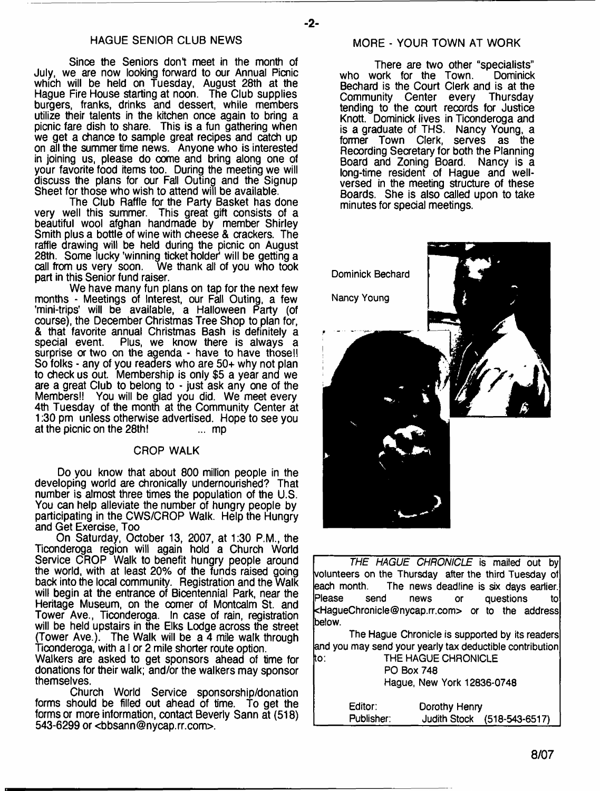# HAGUE SENIOR CLUB NEWS

Since the Seniors dont meet in the month of July, we are now looking forward to our Annual Picnic which will be held on Tuesday, August 28th at the Hague Fire House starting at noon. The Club supplies burgers, franks, drinks and dessert, while members utilize their talents in the kitchen once again to bring a picnic fare dish to share. This is a fun gathering when we get a chance to sample great recipes and catch up on all the summer time news. Anyone who is interested in joining us, please do come and bring along one of your favorite food items too. During the meeting we will discuss the plans for our Fail Outing and the Signup Sheet for those who wish to attend will be available.

The Club Raffle for the Party Basket has done very well this summer. This great gift consists of a beautiful wool afghan handmade by member Shirley Smith plus a bottle of wine with cheese & crackers. The raffle drawing will be held during the picnic on August 28th. Some lucky 'winning ticket holder' will be getting a call from us very soon. We thank all of you who took We thank all of you who took. part in this Senior fund raiser.

We have many fun plans on tap for the next few months - Meetings of Interest, our Fall Outing, a few 'mini-trips' will be available, a Halloween Party (of course), the December Christmas Tree Shop to plan for, & that favorite annual Christmas Bash is definitely a Plus, we know there is always a surprise or two on the agenda - have to have those!! So folks - any of you readers who are 50+ why not plan to check us out. Membership is only \$5 a year and we are a great Club to belong to - just ask any one of the Members!! You will be glad you did. We meet every 4th Tuesday of the month at the Community Center at 1:30 pm unless otherwise advertised. Hope to see you at the picnic on the 28th! at the picnic on the 28th!

#### CROP WALK

Do you know that about 800 million people in the developing world are chronically undernourished? That number is almost three times the population of the U.S. You can help alleviate the number of hungry people by participating in the CWS/CROP Walk. Help the Hungry and Get Exercise, Too

On Saturday, October 13, 2007, at 1:30 P.M., the Ticonderoga region will again hold a Church World Service CROP Walk to benefit hungry people around the world, with at least 20% of the funds raised going back into the local community. Registration and the Walk will begin at the entrance of Bicentennial Park, near the Heritage Museum, on the comer of Montcalm St. and Tower Ave., Ticonderoga. In case of rain, registration will be held upstairs in the Elks Lodge across the street (Tower Ave.). The Walk will be a 4 mile walk through Ticonderoga, with a I or 2 mile shorter route option.

Walkers are asked to get sponsors ahead of time for donations for their walk; and/or the walkers may sponsor themselves.

Church World Service sponsorship/donation forms should be filled out ahead of time. To get the forms or more information, contact Beverly Sann at (518) 543-6299 or <br />[bbsann@nycap.rr.com>](mailto:bbsann@nycap.rr.com).

#### MORE - YOUR TOWN AT WORK

**-2-**

There are two other "specialists"<br>vork for the Town. Dominick who work for the Town. Bechard is the Court Clerk and is at the<br>Community Center every Thursday Community Center every tending to the court records for Justice Knott. Dominick lives in Ticonderoga and is a graduate of THS. Nancy Young, a former Town Clerk, serves as the Recording Secretary for both the Planning Board and Zoning Board. Nancy is a long-time resident of Hague and wellversed in the meeting structure of these Boards. She is also called upon to take minutes for special meetings.



*THE HAGUE CHRONICLE* **is mailed out by volunteers on the Thursday after the third Tuesday of each month. The news deadline is six days earlier. Please send news or questions to <[HagueChronicle@nycap.rr.com](mailto:HagueChronicle@nycap.rr.com)> or to the address below.**

**The Hague Chronicle is supported by its readers and you may send your yearly tax deductible contribution to: THE HAGUE CHRONICLE**

| THE DAVIDE UNNUMICLE.      |  |
|----------------------------|--|
| <b>PO Box 748</b>          |  |
| Hague, New York 12836-0748 |  |
|                            |  |

| Editor:    | Dorothy Henry |                             |
|------------|---------------|-----------------------------|
| Publisher: |               | Judith Stock (518-543-6517) |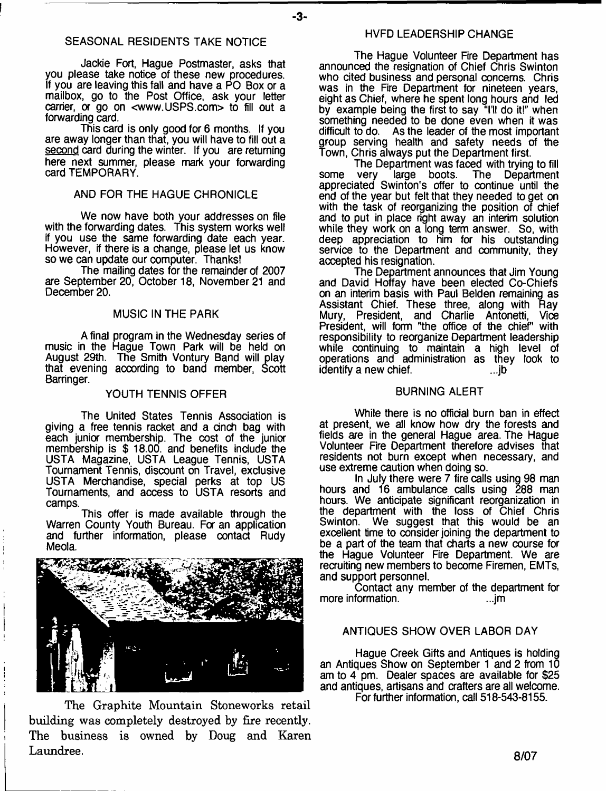# SEASONAL RESIDENTS TAKE NOTICE

Jackie Fort, Hague Postmaster, asks that you please take notice of these new procedures. If you are leaving this fall and have a PO Box or a mailbox, go to the Post Office, ask your letter carrier, or go on [<www.USPS.com>](http://www.USPS.com) to fill out a forwarding card.

This card is only good for 6 months. If you are away longer than that, you will have to fill out a second card during the winter. If you are returning here next summer, please mark your forwarding card TEMPORARY.

# AND FOR THE HAGUE CHRONICLE

We now have both your addresses on file with the forwarding dates. This system works well if you use the same forwarding date each year. However, if there is a change, please let us know so we can update our computer. Thanks!

The mailing dates for the remainder of 2007 are September 20, October 18, November 21 and December 20.

#### MUSIC IN THE PARK

A final program in the Wednesday series of music in the Hague Town Park will be held on August 29th. The Smith Vontury Band will play that evening according to band member, Scott Barringer.

#### YOUTH TENNIS OFFER

The United States Tennis Association is giving a free tennis racket and a cinch bag with each junior membership. The cost of the junior membership is \$ 18.00. and benefits include the USTA Magazine, USTA League Tennis, USTA Tournament Tennis, discount on Travel, exclusive USTA Merchandise, special perks at top US Tournaments, and access to USTA resorts and camps.

This offer is made available through the Warren County Youth Bureau. For an application and further information, please contact Rudy Meola.



**The Graphite Mountain Stoneworks retail building was completely destroyed by fire recently. The business is owned by Doug and Karen Laundree.**

#### HVFD LEADERSHIP CHANGE

The Hague Volunteer Fire Department has announced the resignation of Chief Chris Swinton who cited business and personal concerns. Chris was in the Fire Department for nineteen years, eight as Chief, where he spent long hours and led by example being the first to say "I'll do it!" when something needed to be done even when it was difficult to do. As the leader of the most important group serving health and safety needs of the Town, Chris always put the Department first.

The Department was faced with trying to fill some very large boots. The Department appreciated Swinton's offer to continue until the end of the year but felt that they needed to get on with the task of reorganizing the position of chief and to put in place right away an interim solution while they work on a long term answer. So, with deep appreciation to him for his outstanding service to the Department and community, they accepted his resignation.

The Department announces that Jim Young and David Hoffay have been elected Co-Chiefs on an interim basis with Paul Belden remaining as Assistant Chief. These three, along with Ray Mury, President, and Charlie Antonetti, Vice President, will form "the office of the chief" with responsibility to reorganize Department leadership while continuing to maintain a high level of operations and administration as they look to identify a new chief. The control of the control of the control of the control of the control of the control o

#### BURNING ALERT

While there is no official burn ban in effect at present, we all know how dry the forests and fields are in the general Hague area. The Hague Volunteer Fire Department therefore advises that residents not burn except when necessary, and use extreme caution when doing so.

In July there were 7 fire calls using 98 man hours and 16 ambulance calls using 288 man hours. We anticipate significant reorganization in the department with the loss of Chief Chris Swinton. We suggest that this would be an excellent time to consider joining the department to be a part of the team that charts a new course for the Hague Volunteer Fire Department. We are recruiting new members to become Firemen, EMTs, and support personnel.

Contact any member of the department for more information.

#### ANTIQUES SHOW OVER LABOR DAY

Hague Creek Gifts and Antiques is holding an Antiques Show on September 1 and 2 from 10 am to 4 pm. Dealer spaces are available for \$25 and antiques, artisans and crafters are all welcome.

For further information, call 518-543-8155.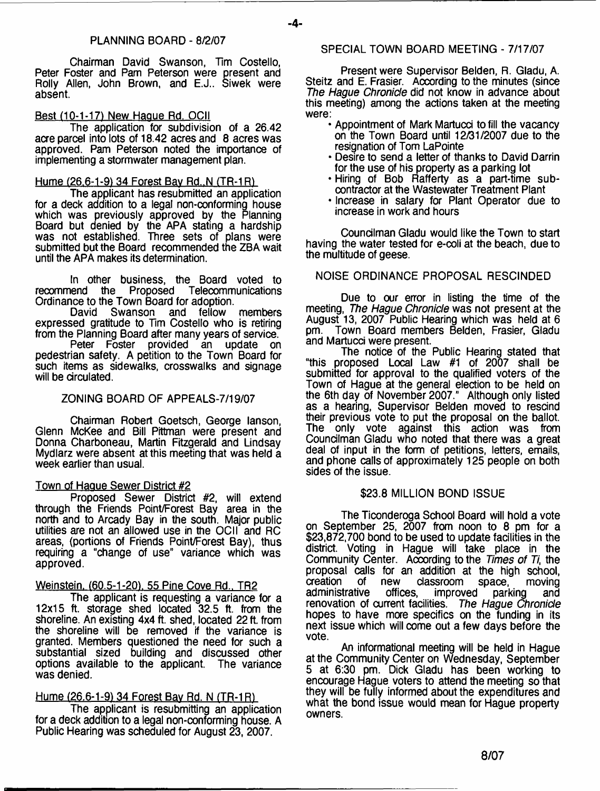Chairman David Swanson, Tim Costello, Peter Foster and Pam Peterson were present and Roily Allen, John Brown, and E.J.. Siwek were absent.

# Best (10-1-17) New Hague Rd. OCII

The application for subdivision of a 26.42 acre parcel into lots of 18.42 acres and 8 acres was approved. Pam Peterson noted the importance of implementing a stormwater management plan.

# Hume (26.6-1-9) 34 Forest Bav Rd..N (TR-1R1

The applicant has resubmitted an application for a deck addition to a legal non-conforming house which was previously approved by the Planning Board but denied by the APA stating a hardship was not established. Three sets of plans were submitted but the Board recommended the ZBA wait until the APA makes its determination.

In other business, the Board voted to<br>
In the Proposed Telecommunications recommend the Proposed Ordinance to the Town Board for adoption.<br>David Swanson and fellow

Swanson and fellow members expressed gratitude to Tim Costello who is retiring from the Planning Board after many years of service.

Peter Foster provided an pedestrian safety. A petition to the Town Board for such items as sidewalks, crosswalks and signage will be circulated.

# ZONING BOARD OF APPEALS-7/19/07

Chairman Robert Goetsch, George lanson, Glenn McKee and Bill Pittman were present and Donna Charboneau, Martin Fitzgerald and Lindsay Mydlarz were absent at this meeting that was held a week earlier than usual.

## Town of Hague Sewer District #2

Proposed Sewer District #2, will extend through the Friends Point/Forest Bay area in the north and to Arcady Bay in the south. Major public utilities are not an allowed use in the OCII and RC areas, (portions of Friends Point/Forest Bay), thus requiring a "change of use" variance which was approved.

# Weinstein. (60.5-1-20), 55 Pine Cove Rd., TR2

The applicant is requesting a variance for a 12x15 ft. storage shed located 32.5 ft. from the shoreline. An existing 4x4 ft. shed, located 22 ft. from the shoreline will be removed if the variance is granted. Members questioned the need for such a substantial sized building and discussed other options available to the applicant. The variance was denied.

# Hume (26.6-1-91 34 Forest Bav Rd. N (TR-1*R)*

The applicant is resubmitting an application for a deck addition to a legal non-conforming house. A Public Hearing was scheduled for August 23, 2007.

# SPECIAL TOWN BOARD MEETING - 7/17/07

Present were Supervisor Belden, R. Gladu, A. Steitz and E. Frasier. According to the minutes (since *The Hague Chronicle* did not know in advance about this meeting) among the actions taken at the meeting were:

- Appointment of Mark Martucd to fill the vacancy on the Town Board until 12/31/2007 due to the resignation of Tom LaPointe
- Desire to send a letter of thanks to David Darrin for the use of his property as a parking lot
- \* Hiring of Bob Rafferty as a part-time subcontractor at the Wastewater Treatment Plant
- \* Increase in salary for Plant Operator due to increase in work and hours

Councilman Gladu would like the Town to start having the water tested for e-coli at the beach, due to the multitude of geese.

# NOISE ORDINANCE PROPOSAL RESCINDED

Due to our error in listing the time of the meeting, *The Hague Chronicle* was not present at the August 13, 2007 Public Hearing which was held at 6 Town Board members Belden, Frasier, Gladu and Martucci were present.

The notice of the Public Hearing stated that "this proposed Local Law  $#1$  of 2007 shall be submitted for approval to the qualified voters of the Town of Hague at the general election to be held on the 6th day of November 2007." Although only listed as a hearing, Supervisor Belden moved to rescind their previous vote to put the proposal on the ballot. The only vote against this action was from Councilman Gladu who noted that there was a great deal of input in the form of petitions, letters, emails, and phone calls of approximately 125 people on both sides of the issue.

# \$23.8 MILLION BOND ISSUE

The Ticonderoga School Board will hold a vote on September 25, 2007 from noon to 8 pm for a \$23,872,700 bond to be used to update facilities in the district. Voting in Hague will take place in the Community Center. Aocording to the *Times of Ti,* the proposal calls for an addition at the high school,<br>creation of new classroom space. moving creation of new classroom space, reation of new classroom space, readadministrative offices, improved parking and renovation of current facilities. *The Hague Chronicle* hopes to have more specifics on the funding in its next issue which will come out a few days before the vote.

An informational meeting will be held in Hague at the Community Center on Wednesday, September 5 at 6:30 pm. Dick Gladu has been working to encourage Hague voters to attend the meeting so that they will be fully informed about the expenditures and what the bond issue would mean for Hague property owners.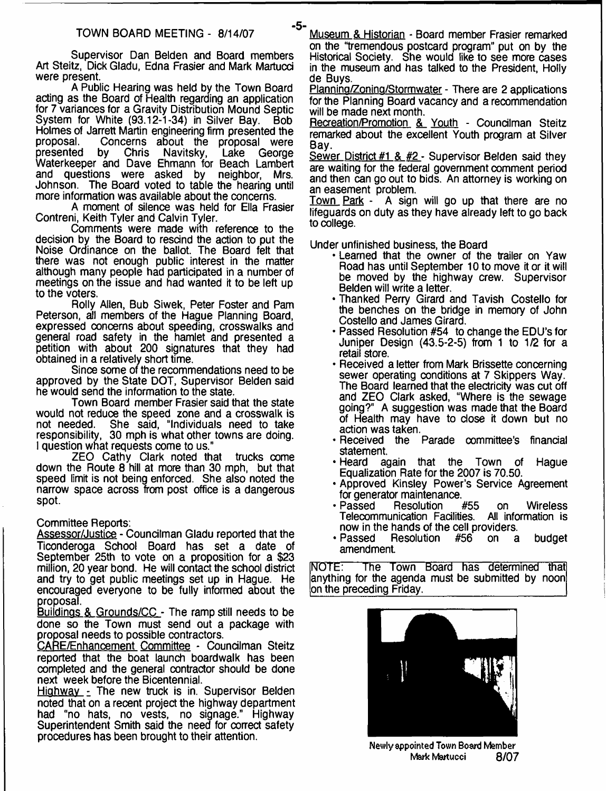Supervisor Dan Belden and Board members Art Steitz, Dick Gladu, Edna Frasier and Mark Martucd were present.

A Public Hearing was held by the Town Board acting as the Board of Health regarding an application for 7 variances for a Gravity Distribution Mound Septic System for White (93.12-1-34) in Silver Bay. Bob Holmes of Jarrett Martin engineering firm presented the proposal. Concerns about the proposal were proposal. Concerns about the proposal were<br>presented by Chris Navitsky, Lake George presented by Chris Navitsky, Lake George Waterkeeper and Dave Ehmann for Beach Lambert and questions were asked by neighbor, Mrs. Johnson. The Board voted to table the hearing until more information was available about the concerns.

A moment of silence was held for Ella Frasier Contreni, Keith Tyler and Calvin Tyler.

Comments were made with reference to the decision by the Board to rescind the action to put the Noise Ordinance on the ballot. The Board felt that there was not enough public interest in the matter although many people had participated in a number of meetings on the issue and had wanted it to be left up to the voters.

Roily Allen, Bub Siwek, Peter Foster and Pam Peterson, all members of the Hague Planning Board, expressed concerns about speeding, crosswalks and general road safety in the hamlet and presented a petition with about 200 signatures that they had obtained in a relatively short time.

Since some of the recommendations need to be approved by the State DOT, Supervisor Belden said he would send the information to the state.

Town Board member Frasier said that the state would not reduce the speed zone and a crosswalk is not needed. She said, "Individuals need to take She said, "Individuals need to take responsibility, 30 mph is what other towns are doing. I question what requests come to us."

ZEO Cathy Clark noted that trucks come down the Route 8 hill at more than 30 mph, but that speed limit is not being enforced. She also noted the narrow space across from post office is a dangerous spot.

Committee Reports:

Assessor/Justice - Councilman Gladu reported that the Ticonderoga School Board has set a date of September 25th to vote on a proposition for a \$23 million, 20 year bond. He will contact the school district and try to get public meetings set up in Hague. He encouraged everyone to be fully informed about the proposal.

Buildings & Grounds/CC - The ramp still needs to be done so the Town must send out a package with proposal needs to possible contractors.

CARE/Enhancement Committee - Councilman Steitz reported that the boat launch boardwalk has been completed and the general contractor should be done next week before the Bicentennial.

Highway - The new truck is in. Supervisor Belden noted that on a recent project the highway department had "no hats, no vests, no signage." Highway Superintendent Smith said the need for correct safety procedures has been brought to their attention.

**TOWN BOARD MEETING - 8/14/07** Museum & Historian - Board member Frasier remarked on the "tremendous postcard program" put on by the Historical Society. She would like to see more cases in the museum and has talked to the President, Holly de Buys.

Planning/Zoning/Stormwater - There are 2 applications for the Planning Board vacancy and a recommendation will be made next month.

Recreation/Promotion & Youth - Councilman Steitz remarked about the excellent Youth program at Silver Bay.

Sewer District #1 & #2 - Supervisor Belden said they are waiting for the federal government comment period and then can go out to bids. An attorney is working on an easement problem.

Town Park - A sign will go up that there are no lifeguards on duty as they have already left to go back to college.

Under unfinished business, the Board

- Learned that the owner of the trailer on Yaw Road has until September 10 to move it or it will be moved by the highway crew. Supervisor Belden will write a letter.
- Thanked Perry Girard and Tavish Costello for the benches on the bridge in memory of John Costello and James Girard.
- Passed Resolution #54 to change the EDU's for Juniper Design (43.5-2-5) from 1 to 1/2 for a retail store.
- Received a letter from Mark Brissette concerning sewer operating conditions at 7 Skippers Way. The Board learned that the electricity was cut off and ZEO Clark asked, "Where is the sewage going?" A suggestion was made that the Board of Health may have to dose it down but no action was taken.
- Received the Parade oommittee's finandal statement.<br>Heard ad-
- again that the Town of Hague Equalization Rate for the 2007 is 70.50.
- Approved Kinsley Power's Service Agreement for generator maintenance.<br>• Passed Resolution #55
- Resolution #55 on Wireless<br>nication Facilities. All information is Telecommunication Facilities. now in the hands of the cell providers.
- Passed Resolution #56 on a budget amendment

NOTE: The Town Board has determined that anything for the agenda must be submitted by noon on the preceding Friday.



**Newly appointed Town Board Member Mark Martucci** 8/07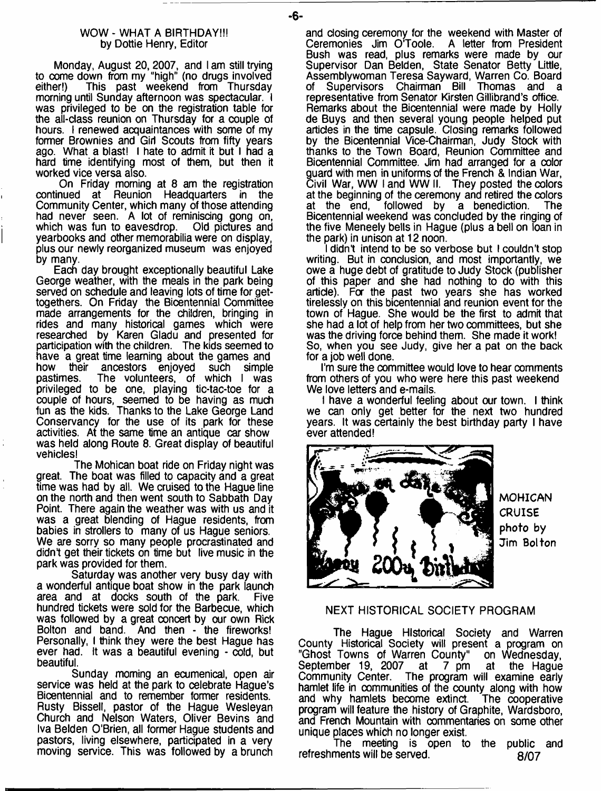#### WOW - WHAT A BIRTHDAY!!! by Dottie Henry, Editor

Monday, August 20,2007, and I am still trying to come down from my "high" (no drugs involved<br>either!) This past weekend from Thursday This past weekend from Thursday morning until Sunday afternoon was spectacular. I was privileged to be on the registration table for the all-class reunion on Thursday for a couple of hours. I renewed acquaintances with some of my former Brownies and Girl Scouts from fifty years ago. What a blast! I hate to admit it but I had a hard time identifying most of them, but then it worked vice versa also.

On Friday morning at 8 am the registration continued at Reunion Headquarters in the Community Center, which many of those attending had never seen. A lot of reminiscing gong on, which was fun to eavesdrop. Old pictures and yearbooks and other memorabilia were on display, plus our newly reorganized museum was enjoyed by many.

Each day brought exceptionally beautiful Lake George weather, with the meals in the park being served on schedule and leaving lots of time for gettogethers. On Friday the Bicentennial Committee made arrangements for the children, bringing in rides and many historical games which were researched by Karen Gladu and presented for participation with the children. The kids seemed to have a great time learning about the games and<br>how their ancestors enioved such simple their ancestors enjoyed pastimes. The volunteers, of which I was privileged to be one, playing tic-tac-toe for a couple of hours, seemed to be having as much fun as the kids. Thanks to the Lake George Land Conservancy for the use of its park for these activities. At the same time an antique car show was held along Route 8. Great display of beautiful vehicles!

The Mohican boat ride on Friday night was great. The boat was filled to capacity and a great time was had by all. We cruised to the Hague line on the north and then went south to Sabbath Day Point. There again the weather was with us and it was a great blending of Hague residents, from babies in strollers to many of us Hague seniors. We are sorry so many people procrastinated and didn't get their tickets on time but live music in the park was provided for them.

Saturday was another very busy day with a wonderful antique boat show in the park launch area and at docks south of the park. Five hundred tickets were sold for the Barbecue, which was followed by a great concert by our own Rick Bolton and band. And then - the fireworks! Personally, I think they were the best Hague has ever had. It was a beautiful evening - cold, but beautiful.

Sunday morning an ecumenical, open air service was held at the park to celebrate Hague's Bicentennial and to remember former residents. Rusty Bissell, pastor of the Hague Wesleyan Church and Nelson Waters, Oliver Bevins and Iva Belden O'Brien, all former Hague students and pastors, living elsewhere, participated in a very moving service. This was followed by a brunch

and closing ceremony for the weekend with Master of Ceremonies Jim O'Toole. A letter from President A letter from President Bush was read, plus remarks were made by our Supervisor Dan Belden, State Senator Betty Little, Assemblywoman Teresa Sayward, Warren Co. Board of Supervisors Chairman Bill Thomas and a representative from Senator Kirsten Gillibrand's office. Remarks about the Bicentennial were made by Holly de Buys and then several young people helped put articles in the time capsule. Closing remarks followed by the Bicentennial Vice-Chairman, Judy Stock with thanks to the Town Board, Reunion Committee and Bicentennial Committee. Jim had arranged for a color guard with men in uniforms of the French & Indian War, Civil War, WW I and WW II. They posted the colors at the beginning of the ceremony and retired the colors at the end, followed by a benediction. The Bicentennial weekend was concluded by the ringing of the five Meneely bells in Hague (plus a bell on loan in the park) in unison at 12 noon.

I didn't intend to be so verbose but I couldn't stop writing. But in conclusion, and most importantly, we owe a huge debt of gratitude to Judy Stock (publisher of this paper and she had nothing to do with this article). For the past two years she has worked tirelessly on this bicentennial and reunion event for the town of Hague. She would be the first to admit that she had a lot of help from her two committees, but she was the driving force behind them. She made it work! So, when you see Judy, give her a pat on the back for a job well done.

I'm sure the committee would love to hear comments from others of you who were here this past weekend We love letters and e-mails.

I have a wonderful feeling about our town. I think we can only get better for the next two hundred years. It was certainly the best birthday party I have ever attended!



**MOHICAN CRUISE** photo by Jim Bolton

#### NEXT HISTORICAL SOCIETY PROGRAM

The Hague Historical Society and Warren County Historical Society will present a program on "Ghost Towns of Warren County" September 19, 2007 at 7 pm at the Hague<br>Community Center. The program will examine early The program will examine early hamlet life in communities of the county along with how and why hamlets become extinct. The cooperative and why hamlets become extinct. program will feature the history of Graphite, Wardsboro, and French Mountain with commentaries on some other unique places which no longer exist.

The meeting is open to the public and refreshments will be served. 8/07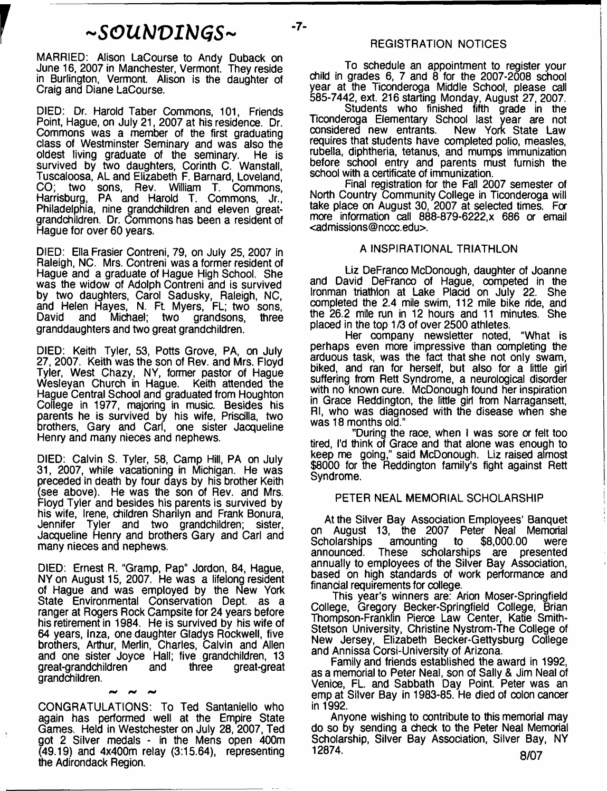# *- S G U M V I H G S -*

 $-7-$ 

MARRIED: Alison LaCourse to Andy Duback on June 16, 2007 in Manchester, Vermont. They reside in Burlington, Vermont. Alison is the daughter of Craig and Diane LaCourse.

DIED: Dr. Harold Taber Commons, 101, Friends Point, Hague, on July 21, 2007 at his residence. Dr. Commons was a member of the first graduating class of Westminster Seminary and was also the oldest living graduate of the seminary. He is survived by two daughters, Corinth C. Wanstall, Tuscaloosa, AL and Elizabeth F. Barnard, Loveland, CO; two sons, Rev. William T. Commons, Harrisburg, PA and Harold T. Commons, Jr., Philadelphia, nine grandchildren and eleven greatgrandchildren. Dr. Commons has been a resident of Hague for over 60 years.

DIED: Ella Frasier Contreni, 79, on July 25, 2007 in Raleigh, NC. Mrs. Contreni was a former resident of Hague and a graduate of Hague High School. She was the widow of Adolph Contreni and is survived by two daughters, Carol Sadusky, Raleigh, NC, and Helen Hayes, N. Ft. Myers, FL; two sons, David and Michael; two grandsons, three granddaughters and two great grandchildren.

DIED: Keith Tyler, 53, Potts Grove, PA, on July 27, 2007. Keith was the son of Rev. and Mrs. Floyd Tyler, West Chazy, NY, former pastor of Hague Wesleyan Church in Hague. Keith attended the Hague Central School and graduated from Houghton College in 1977, majoring in music. Besides his parents he is survived by his wife, Priscilla, two brothers, Gary and Carl, one sister Jacqueline Henry and many nieces and nephews.

DIED: Calvin S. Tyler, 58, Camp Hill, PA on July 31, 2007, while vacationing in Michigan. He was preceded in death by four days by his brother Keith (see above). He was the son of Rev. and Mrs. Floyd Tyler and besides his parents is survived by his wife, Irene, children Sharilyn and Frank Bonura, Tyler and two grandchildren; sister, Jacqueline Henry and brothers Gary and Carl and many nieces and nephews.

DIED: Ernest R. "Gramp, Pap" Jordon, 84, Hague, NY on August 15, 2007. He was a lifelong resident of Hague and was employed by the New York State Environmental Conservation Dept, as a ranger at Rogers Rock Campsite for 24 years before his retirement in 1984. He is survived by his wife of 64 years, Inza, one daughter Gladys Rockwell, five brothers, Arthur, Merlin, Charles, Calvin and Allen and one sister Joyce Hall; five grandchildren, 13 great-grandchildren and three great-great grandchildren.

CONGRATULATIONS: To Ted Santaniello who again has performed well at the Empire State Games. Held in Westchester on July 28, 2007, Ted got 2 Silver medals - in the Mens open 400m (49.19) and 4x400m relay (3:15.64), representing the Adirondack Region.

# REGISTRATION NOTICES

To schedule an appointment to register your child in grades 6, 7 and 8 for the 2007-2008 school year at the Ticonderoga Middle School, please call 585-7442, ext. 216 starting Monday, August 27, 2007.

Students who finished fifth grade in the Ticonderoga Elementary School last year are not<br>considered new entrants. New York State Law considered new entrants. requires that students have completed polio, measles, rubella, diphtheria, tetanus, and mumps immunization before school entry and parents must furnish the school with a certificate of immunization.

Final registration for the Fall 2007 semester of North Country Community College in Ticonderoga will take place on August 30, 2007 at selected times. For more information call 888-879-6222,x 686 or email <[admissions@nccc.edu>](mailto:admissions@nccc.edu).

#### A INSPIRATIONAL TRIATHLON

Liz DeFranco McDonough, daughter of Joanne and David DeFranco of Hague, competed in the Ironman triathlon at Lake Placid on July 22. She completed the 2.4 mile swim, 112 mile bike ride, and the 26.2 mile run in 12 hours and 11 minutes. She placed in the top 1 /3 of over 2500 athletes.

Her company newsletter noted, "What is perhaps even more impressive than completing the arduous task, was the fact that she not only swam, biked, and ran for herself, but also for a little girl suffering from Rett Syndrome, a neurological disorder with no known cure. McDonough found her inspiration in Grace Reddington, the little girl from Narragansett, Rl, who was diagnosed with the disease when she was 18 months old."

"During the race, when I was sore or felt too tired, I'd think of Grace and that alone was enough to keep me going," said McDonough. Liz raised almost \$8000 for the Reddington family's fight against Rett Syndrome.

#### PETER NEAL MEMORIAL SCHOLARSHIP

At the Silver Bay Association Employees' Banquet on August 13, the 2007 Peter Neal Memorial<br>Scholarships amounting to \$8,000.00 were Scholarships amounting to \$8,000.00 were announced. These scholarships are presented annually to employees of the Silver Bay Association, based on high standards of work performance and financial requirements for college.

This year's winners are: Arion Moser-Springfield College, Gregory Becker-Springfield College, Brian Thompson-Franklin Pierce Law Center, Katie Smith-Stetson University, Christine Nystrom-The College of New Jersey, Elizabeth Becker-Gettysburg College and Annissa Corsi-University of Arizona.

Family and friends established the award in 1992, as a memorial to Peter Neal, son of Sally & Jim Neal of Venice, FL. and Sabbath Day Point. Peter was an emp at Silver Bay in 1983-85. He died of colon cancer in 1992.

Anyone wishing to contribute to this memorial may do so by sending a check to the Peter Neal Memorial Scholarship, Silver Bay Association, Silver Bay, NY<br>12874.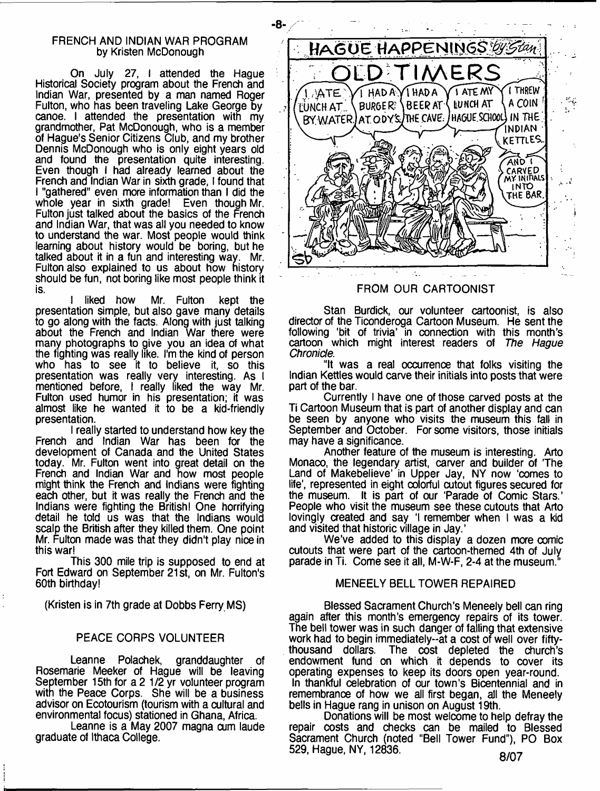#### FRENCH AND INDIAN WAR PROGRAM by Kristen McDonough

On July 27, I attended the Hague Historical Society program about the French and Indian War, presented by a man named Roger Fulton, who has been traveling Lake George by canoe. I attended the presentation with my grandmother, Pat McDonough, who is a member of Hague's Senior Citizens Club, and my brother Dennis McDonough who is only eight years old and found the presentation quite interesting. Even though I had already learned about the French and Indian War in sixth grade, I found that 1 "gathered" even more information than I did the whole year in sixth grade! Even though Mr. Fulton just talked about the basics of the French and Indian War, that was all you needed to know to understand the war. Most people would think learning about history would be boring, but he talked about it in a fun and interesting way. Mr. Fulton also explained to us about how history should be fun, not boring like most people think it is.

1 liked how Mr. Fulton kept the presentation simple, but also gave many details to go along with the facts. Along with just talking about the French and Indian War there were many photographs to give you an idea of what the fighting was really like. I'm the kind of person who has to see it to believe it, so this presentation was really very interesting. As I mentioned before, I really liked the way Mr. Fulton used humor in his presentation; it was almost like he wanted it to be a kid-friendly presentation.

I really started to understand how key the French and Indian War has been for the development of Canada and the United States today. Mr. Fulton went into great detail on the French and Indian War and how most people might think the French and Indians were fighting each other, but it was really the French and the Indians were fighting the British! One horrifying detail he told us was that the Indians would scalp the British after they killed them. One point Mr. Fulton made was that they didn't play nice in this war!

This 300 mile trip is supposed to end at Fort Edward on September 21st, on Mr. Fulton's 60th birthday!

(Kristen is in 7th grade at Dobbs Ferry MS)

# PEACE CORPS VOLUNTEER

Leanne Polachek, granddaughter of Rosemarie Meeker of Hague will be leaving September 15th for a 2 1/2 yr volunteer program with the Peace Corps. She will be a business advisor on Ecotourism (tourism with a cultural and environmental focus) stationed in Ghana, Africa.

Leanne is a May 2007 magna cum laude graduate of Ithaca College.



# FROM OUR CARTOONIST

Stan Burdick, our volunteer cartoonist, is also director of the Ticonderoga Cartoon Museum. He sent the following 'bit of trivia' in connection with this month's cartoon which might interest readers of *The Hague Chronicle.*

"It was a real occurrence that folks visiting the Indian Kettles would carve their initials into posts that were part of the bar.

Currently I have one of those carved posts at the Ti Cartoon Museum that is part of another display and can be seen by anyone who visits the museum this fall in September and October. For some visitors, those initials may have a significance.

Another feature of the museum is interesting. Arto Monaco, the legendary artist, carver and builder of 'The Land of Makebelieve' in Upper Jay, NY now 'comes to life', represented in eight colorful cutout figures secured for the museum. It is part of our 'Parade of Comic Stars.' People who visit the museum see these cutouts that Arto lovingly created and say 'I remember when I was a kid and visited that historic village in Jay.'

We've added to this display a dozen more comic cutouts that were part of the cartoon-themed 4th of July parade in Ti. Come see it all, M-W-F, 2-4 at the museum."

## MENEELY BELL TOWER REPAIRED

Blessed Sacrament Church's Meneely bell can ring again after this month's emergency repairs of its tower. The bell tower was in such danger of falling that extensive work had to begin immediately--at a cost of well over fifty-<br>thousand dollars. The cost depleted the church's The cost depleted the church's endowment fund on which it depends to cover its operating expenses to keep its doors open year-round. In thankful celebration of our town's Bicentennial and in remembranoe of how we all first began, all the Meneely bells in Hague rang in unison on August 19th.

Donations will be most welcome to help defray the repair costs and checks can be mailed to Blessed Sacrament Church (noted "Bell Tower Fund"), PO Box 529, Hague, NY, 12836. **Qf10. Qf10. Qf10. Qf10.**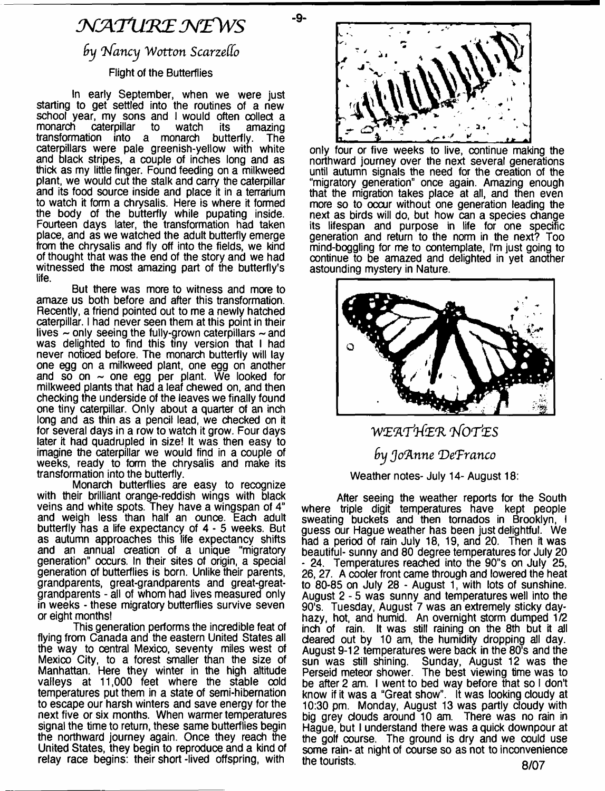# *M K T L tK E N Z W S*

-9-

# by Nancy Wotton Scarzello

# Flight of the Butterflies

In early September, when we were just starting to get settled into the routines of a new school year, my sons and I would often collect a<br>monarch caterpillar to watch its amazing monarch caterpillar<br>transformation into a monarch butterfly. The caterpillars were pale greenish-yellow with white and black stripes, a couple of inches long and as thick as my little finger. Found feeding on a milkweed plant, we would cut the stalk and carry the caterpillar and its food source inside and place it in a terrarium to watch it form a chrysalis. Here is where it formed the body of the butterfly while pupating inside. Fourteen days later, the transformation had taken place, and as we watched the adult butterfly emerge from the chrysalis and fly off into the fields, we kind of thought that was the end of the story and we had witnessed the most amazing part of the butterfly's life.

But there was more to witness and more to amaze us both before and after this transformation. Recently, a friend pointed out to me a newly hatched caterpillar. I had never seen them at this point in their lives  $\sim$  only seeing the fully-grown caterpillars  $\sim$  and was delighted to find this tiny version that I had never noticed before. The monarch butterfly will lay one egg on a milkweed plant, one egg on another and so on  $\sim$  one egg per plant. We looked for milkweed plants that had a leaf chewed on, and then checking the underside of the leaves we finally found one tiny caterpillar. Only about a quarter of an inch long and as thin as a pencil lead, we checked on it for several days in a row to watch it grow. Four days later it had quadrupled in size! It was then easy to imagine the caterpillar we would find in a couple of weeks, ready to form the chrysalis and make its transformation into the butterfly.

Monarch butterflies are easy to recognize with their brilliant orange-reddish wings with black veins and white spots. They have a wingspan of 4" and weigh less than half an ounce. Each adult butterfly has a life expectancy of 4 - 5 weeks. But as autumn approaches this life expectancy shifts and an annual creation of a unique "migratory generation" occurs. In their sites of origin, a special generation of butterflies is born. Unlike their parents, grandparents, great-grandparents and great-greatgrandparents - all of whom had lives measured only in weeks - these migratory butterflies survive seven or eight months!

This generation performs the incredible feat of flying from Canada and the eastern United States all the way to central Mexico, seventy miles west of Mexico City, to a forest smaller than the size of Manhattan. Here they winter in the high altitude valleys at 11,000 feet where the stable cold temperatures put them in a state of semi-hibernation to escape our harsh winters and save energy for the next five or six months. When warmer temperatures signal the time to return, these same butterflies begin the northward journey again. Once they reach the United States, they begin to reproduce and a kind of relay race begins: their short-lived offspring, with



only four or five weeks to live, continue making the northward journey over the next several generations until autumn signals the need for the creation of the "migratory generation" once again. Amazing enough that the migration takes place at all, and then even more so to occur without one generation leading the next as birds will do, but how can a species change its lifespan and purpose in life for one specific generation and return to the norm in the next? Too mind-boggling for me to contemplate, I'm just going to continue to be amazed and delighted in yet another astounding mystery in Nature.



# W E9LTM E-R *TfO TfeS f>y Jo'Anne 'DeTranco*

# Weather notes- July 14- August 18:

After seeing the weather reports for the South where triple digit temperatures have kept people sweating buckets and then tornados in Brooklyn, I guess our Hague weather has been just delightful. We had a period of rain July 18, 19, and 20. Then it was beautiful- sunny and 80 degree temperatures for July 20 - 24. Temperatures reached into the 90"s on July 25, 26,27. A cooler front came through and lowered the heat to 80-85 on July 28 - August 1, with lots of sunshine. August 2 - 5 was sunny and temperatures well into the 90's. Tuesday, August 7 was an extremely sticky dayhazy, hot, and humid. An overnight storm dumped 1/2 inch of rain. It was still raining on the 8th but it all cleared out by 10 am, the humidity dropping all day. August 9-12 temperatures were back in the 80's and the sun was still shining. Sunday, August 12 was the Perseid meteor shower. The best viewing time was to be after 2 am. I went to bed way before that so I don't know if it was a "Great show". It was looking cloudy at 10:30 pm. Monday, August 13 was partly cloudy with big grey clouds around 10 am. There was no rain in Hague, but I understand there was a quick downpour at the golf course. The ground is dry and we could use some rain- at night of course so as not to inconvenience the tourists. 8/07